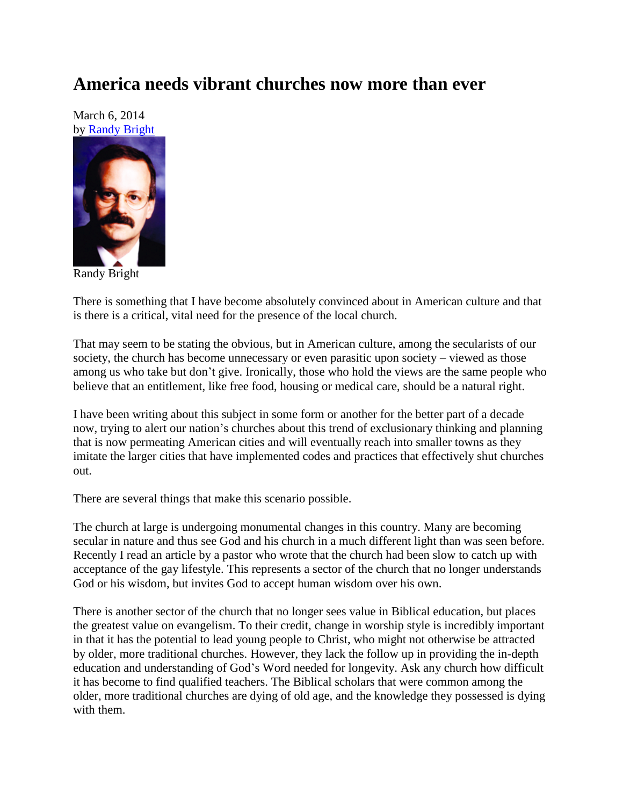## **America needs vibrant churches now more than ever**

March 6, 2014 by [Randy Bright](http://tulsabeacon.com/writers/randy-bright/)



Randy Bright

There is something that I have become absolutely convinced about in American culture and that is there is a critical, vital need for the presence of the local church.

That may seem to be stating the obvious, but in American culture, among the secularists of our society, the church has become unnecessary or even parasitic upon society – viewed as those among us who take but don't give. Ironically, those who hold the views are the same people who believe that an entitlement, like free food, housing or medical care, should be a natural right.

I have been writing about this subject in some form or another for the better part of a decade now, trying to alert our nation's churches about this trend of exclusionary thinking and planning that is now permeating American cities and will eventually reach into smaller towns as they imitate the larger cities that have implemented codes and practices that effectively shut churches out.

There are several things that make this scenario possible.

The church at large is undergoing monumental changes in this country. Many are becoming secular in nature and thus see God and his church in a much different light than was seen before. Recently I read an article by a pastor who wrote that the church had been slow to catch up with acceptance of the gay lifestyle. This represents a sector of the church that no longer understands God or his wisdom, but invites God to accept human wisdom over his own.

There is another sector of the church that no longer sees value in Biblical education, but places the greatest value on evangelism. To their credit, change in worship style is incredibly important in that it has the potential to lead young people to Christ, who might not otherwise be attracted by older, more traditional churches. However, they lack the follow up in providing the in-depth education and understanding of God's Word needed for longevity. Ask any church how difficult it has become to find qualified teachers. The Biblical scholars that were common among the older, more traditional churches are dying of old age, and the knowledge they possessed is dying with them.